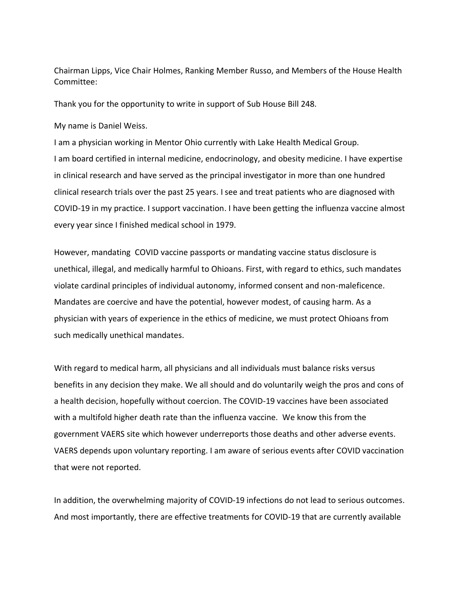Chairman Lipps, Vice Chair Holmes, Ranking Member Russo, and Members of the House Health Committee:

Thank you for the opportunity to write in support of Sub House Bill 248.

My name is Daniel Weiss.

I am a physician working in Mentor Ohio currently with Lake Health Medical Group. I am board certified in internal medicine, endocrinology, and obesity medicine. I have expertise in clinical research and have served as the principal investigator in more than one hundred clinical research trials over the past 25 years. I see and treat patients who are diagnosed with COVID-19 in my practice. I support vaccination. I have been getting the influenza vaccine almost every year since I finished medical school in 1979.

However, mandating COVID vaccine passports or mandating vaccine status disclosure is unethical, illegal, and medically harmful to Ohioans. First, with regard to ethics, such mandates violate cardinal principles of individual autonomy, informed consent and non-maleficence. Mandates are coercive and have the potential, however modest, of causing harm. As a physician with years of experience in the ethics of medicine, we must protect Ohioans from such medically unethical mandates.

With regard to medical harm, all physicians and all individuals must balance risks versus benefits in any decision they make. We all should and do voluntarily weigh the pros and cons of a health decision, hopefully without coercion. The COVID-19 vaccines have been associated with a multifold higher death rate than the influenza vaccine. We know this from the government VAERS site which however underreports those deaths and other adverse events. VAERS depends upon voluntary reporting. I am aware of serious events after COVID vaccination that were not reported.

In addition, the overwhelming majority of COVID-19 infections do not lead to serious outcomes. And most importantly, there are effective treatments for COVID-19 that are currently available